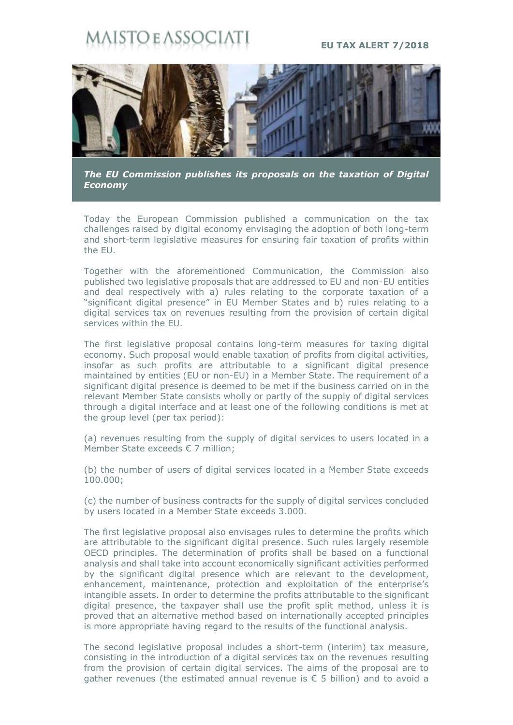## **STO E ASSOCI**

## **EU TAX ALERT 7/2018**



*The EU Commission publishes its proposals on the taxation of Digital Economy*

Today the European Commission published a communication on the tax challenges raised by digital economy envisaging the adoption of both long-term and short-term legislative measures for ensuring fair taxation of profits within the EU.

Together with the aforementioned Communication, the Commission also published two legislative proposals that are addressed to EU and non-EU entities and deal respectively with a) rules relating to the corporate taxation of a "significant digital presence" in EU Member States and b) rules relating to a digital services tax on revenues resulting from the provision of certain digital services within the EU.

The first legislative proposal contains long-term measures for taxing digital economy. Such proposal would enable taxation of profits from digital activities, insofar as such profits are attributable to a significant digital presence maintained by entities (EU or non-EU) in a Member State. The requirement of a significant digital presence is deemed to be met if the business carried on in the relevant Member State consists wholly or partly of the supply of digital services through a digital interface and at least one of the following conditions is met at the group level (per tax period):

(a) revenues resulting from the supply of digital services to users located in a Member State exceeds € 7 million;

(b) the number of users of digital services located in a Member State exceeds 100.000;

(c) the number of business contracts for the supply of digital services concluded by users located in a Member State exceeds 3.000.

The first legislative proposal also envisages rules to determine the profits which are attributable to the significant digital presence. Such rules largely resemble OECD principles. The determination of profits shall be based on a functional analysis and shall take into account economically significant activities performed by the significant digital presence which are relevant to the development, enhancement, maintenance, protection and exploitation of the enterprise's intangible assets. In order to determine the profits attributable to the significant digital presence, the taxpayer shall use the profit split method, unless it is proved that an alternative method based on internationally accepted principles is more appropriate having regard to the results of the functional analysis.

The second legislative proposal includes a short-term (interim) tax measure, consisting in the introduction of a digital services tax on the revenues resulting from the provision of certain digital services. The aims of the proposal are to gather revenues (the estimated annual revenue is  $\epsilon$  5 billion) and to avoid a